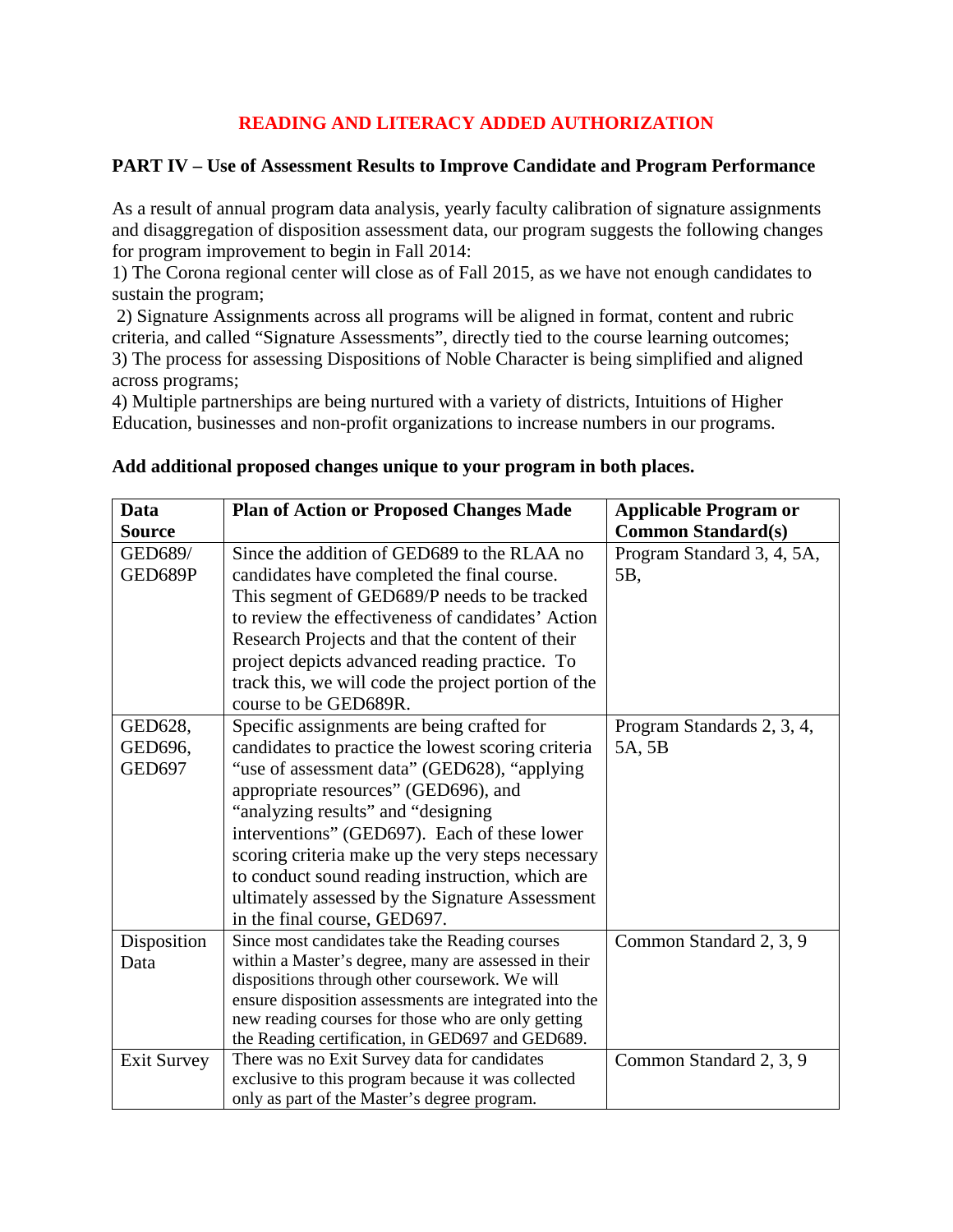## **READING AND LITERACY ADDED AUTHORIZATION**

## **PART IV – Use of Assessment Results to Improve Candidate and Program Performance**

As a result of annual program data analysis, yearly faculty calibration of signature assignments and disaggregation of disposition assessment data, our program suggests the following changes for program improvement to begin in Fall 2014:

1) The Corona regional center will close as of Fall 2015, as we have not enough candidates to sustain the program;

2) Signature Assignments across all programs will be aligned in format, content and rubric criteria, and called "Signature Assessments", directly tied to the course learning outcomes; 3) The process for assessing Dispositions of Noble Character is being simplified and aligned across programs;

4) Multiple partnerships are being nurtured with a variety of districts, Intuitions of Higher Education, businesses and non-profit organizations to increase numbers in our programs.

| Data               | <b>Plan of Action or Proposed Changes Made</b>                                                     | <b>Applicable Program or</b> |
|--------------------|----------------------------------------------------------------------------------------------------|------------------------------|
| <b>Source</b>      |                                                                                                    | <b>Common Standard(s)</b>    |
| GED689/            | Since the addition of GED689 to the RLAA no                                                        | Program Standard 3, 4, 5A,   |
| GED689P            | candidates have completed the final course.                                                        | 5B,                          |
|                    | This segment of GED689/P needs to be tracked                                                       |                              |
|                    | to review the effectiveness of candidates' Action                                                  |                              |
|                    | Research Projects and that the content of their                                                    |                              |
|                    | project depicts advanced reading practice. To                                                      |                              |
|                    | track this, we will code the project portion of the                                                |                              |
|                    | course to be GED689R.                                                                              |                              |
| GED628,            | Specific assignments are being crafted for                                                         | Program Standards 2, 3, 4,   |
| GED696,            | candidates to practice the lowest scoring criteria                                                 | 5A, 5B                       |
| <b>GED697</b>      | "use of assessment data" (GED628), "applying                                                       |                              |
|                    | appropriate resources" (GED696), and                                                               |                              |
|                    | "analyzing results" and "designing                                                                 |                              |
|                    | interventions" (GED697). Each of these lower                                                       |                              |
|                    | scoring criteria make up the very steps necessary                                                  |                              |
|                    | to conduct sound reading instruction, which are                                                    |                              |
|                    | ultimately assessed by the Signature Assessment                                                    |                              |
|                    | in the final course, GED697.                                                                       |                              |
| Disposition        | Since most candidates take the Reading courses                                                     | Common Standard 2, 3, 9      |
| Data               | within a Master's degree, many are assessed in their                                               |                              |
|                    | dispositions through other coursework. We will                                                     |                              |
|                    | ensure disposition assessments are integrated into the                                             |                              |
|                    | new reading courses for those who are only getting                                                 |                              |
|                    | the Reading certification, in GED697 and GED689.                                                   |                              |
| <b>Exit Survey</b> | There was no Exit Survey data for candidates<br>exclusive to this program because it was collected | Common Standard 2, 3, 9      |
|                    | only as part of the Master's degree program.                                                       |                              |

## **Add additional proposed changes unique to your program in both places.**